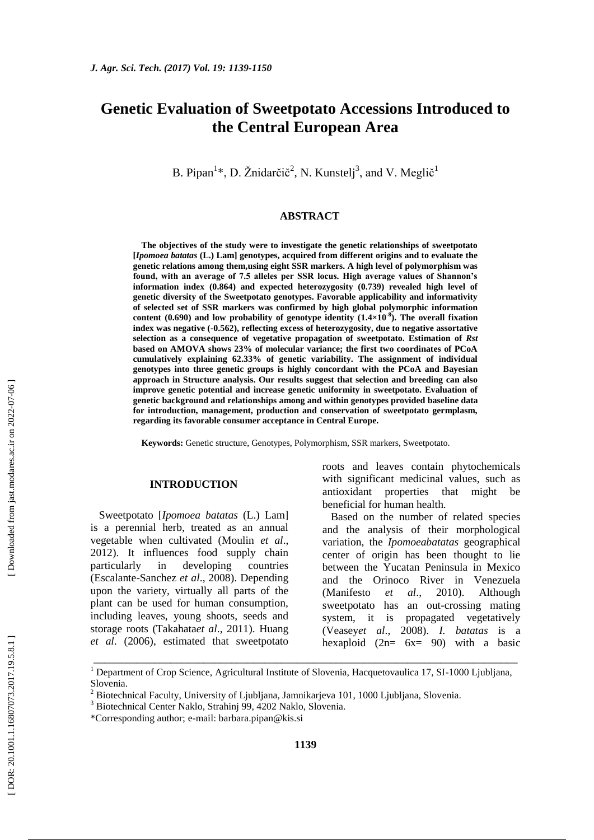# **Genetic Evaluation of Sweetpotato Accessions Introduced to the Central European Area**

B. Pipan<sup>1</sup>\*, D. Žnidarčič<sup>2</sup>, N. Kunstelj<sup>3</sup>, and V. Meglič<sup>1</sup>

### **ABSTRACT**

**The objectives of the study were to investigate the genetic relationships of sweetpotato [***Ipomoea batatas* **(L.) Lam] genotypes, acquired from different origins and to evaluate the genetic relations among them,using eight SSR markers. A high level of polymorphism was found, with an average of 7.5 alleles per SSR locus. High average values of Shannon's information index (0.864) and expected heterozygosity (0.739) revealed high level of genetic diversity of the Sweetpotato genotypes. Favorable applicability and informativity of selected set of SSR markers was confirmed by high global polymorphic information**  content  $(0.690)$  and low probability of genotype identity  $(1.4\times10^{-8})$ . The overall fixation **index was negative ( -0.562), reflecting excess of heterozygosity, due to negative assortative selection as a consequence of vegetative propagation of sweetpotato. Estimation of** *Rst* **based on AMOVA shows 23% of molecular variance; the first two coordinates of PCoA cumulatively explaining 62.33% of genetic variability. The assignment of individual genotypes into three genetic groups is highly concordant with the PCoA and Bayesian approach in Structure analysis. Our results suggest that selection and breeding can also improve genetic potential and increase genetic uniformity in sweetpotato. Evaluation of genetic background and relationships among and within genotypes provided baseline data for introduction, management, production and conservation of sweetpotato germplasm, regarding its favorable consumer acceptance in Central Europe.**

**Keywords:** Genetic structure, Genotypes, Polymorphism, SSR markers, Sweetpotato.

# **INTRODUCTION**

Sweetpotato [*Ipomoea batatas* (L.) Lam] is a perennial herb, treated as an annual vegetable when cultivated (Moulin *et al*., 2012). It influences food supply chain particularly in developing countries (Escalante -Sanchez *et al*., 2008). Depending upon the variety, virtually all parts of the plant can be used for human consumption, including leaves, young shoots, seeds and storage roots (Takahata*et al*., 2011). Huang *et al*. (2006), estimated that sweetpotato

roots and leaves contain phytochemicals with significant medicinal values, such as antioxidant properties that might be beneficial for human health.

Based on the number of related species and the analysis of their morphological variation, the *Ipomoeabatatas* geographical center of origin has been thought to lie between the Yucatan Peninsula in Mexico and the Orinoco River in Venezuela (Manifesto *et al*., 2010). Although sweetpotato has an out -crossing mating system, it is propagated vegetatively (Veasey*et al*., 2008). *I. batatas* is a hexaploid  $(2n= 6x= 90)$  with a basic

\_\_\_\_\_\_\_\_\_\_\_\_\_\_\_\_\_\_\_\_\_\_\_\_\_\_\_\_\_\_\_\_\_\_\_\_\_\_\_\_\_\_\_\_\_\_\_\_\_\_\_\_\_\_\_\_\_\_\_\_\_\_\_\_\_\_\_\_\_\_\_\_\_\_\_\_\_

Downloaded from jast.modares.ac.ir on 2022-07-06

<sup>&</sup>lt;sup>1</sup> Department of Crop Science, Agricultural Institute of Slovenia, Hacquetovaulica 17, SI-1000 Ljubljana,

Slovenia. <sup>2</sup> Biotechnical Faculty, University of Ljubljana, Jamnikarjeva 101, 1000 Ljubljana, Slovenia. <sup>3</sup> Biotechnical Center Naklo, Strahinj 99, 4202 Naklo, Slovenia.

<sup>\*</sup>Co r res ponding author; e -mail: [barbara.pipan@kis.si](mailto:barbara.pipan@kis.si)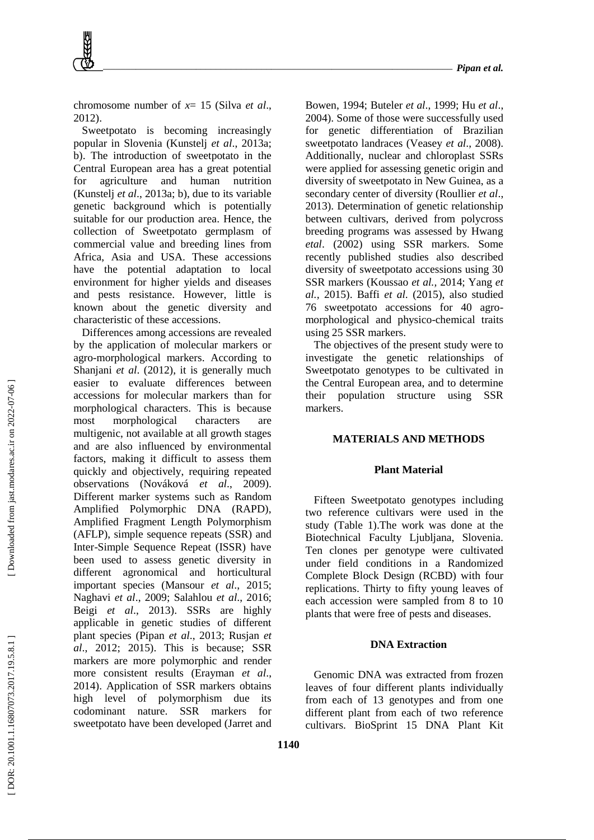chromosome number of  $x=15$  (Silva *et al.*, 2012).

Sweetpotato is becoming increasingly popular in Slovenia (Kunstelj *et al*., 2013a; b). The introduction of sweetpotato in the Central European area has a great potential for agriculture and human nutrition (Kunstelj *et al*., 2013a; b), due to its variable genetic background which is potentially suitable for our production area. Hence, the collection of Sweetpotato germplasm of commercial value and breeding lines from Africa, Asia and USA. These accessions have the potential adaptation to local environment for higher yields and diseases and pests resistance. However, little is known about the genetic diversity and characteristic of these accessions.

Differences among accessions are revealed by the application of molecular markers or agro -morphological markers. According to Shanjani *et al*. (2012), it is generally much easier to evaluate differences between accessions for molecular markers than for morphological characters. This is because most morphological characters are multigenic, not available at all growth stages and are also influenced by environmental factors, making it difficult to assess them quickly and objectively, requiring repeated observations (Nováková *et al*., 2009). Different marker systems such as Random Amplified Polymorphic DNA (RAPD), Amplified Fragment Length Polymorphism (AFLP), simple sequence repeats (SSR) and Inter -Simple Sequence Repeat (ISSR) have been used to assess genetic diversity in different agronomical and horticultural important species (Mansour *et al*., 2015; Naghavi *et al*., 2009; Salahlou *et al*., 2016; Beigi *et al*., 2013). SSRs are highly applicable in genetic studies of different plant species (Pipan *et al*., 2013; Rusjan *et al*., 2012; 2015). This is because; SSR markers are more polymorphic and render more consistent results (Erayman *et al*., 2014). Application of SSR markers obtains high level of polymorphism due its codominant nature. SSR markers for sweetpotato have been developed (Jarret and

Bowen, 1994; Buteler *et al*., 1999; Hu *et al*., 2004). Some of those were successfully used for genetic differentiation of Brazilian sweetpotato landraces (Veasey *et al*., 2008). Additionally, nuclear and chloroplast SSRs were applied for assessing genetic origin and diversity of sweetpotato in New Guinea, as a secondary center of diversity (Roullier *et al*., 2013). Determination of genetic relationship between cultivars, derived from polycross breeding programs was assessed by Hwang *etal*. (2002) using SSR markers. Some recently published studies also described diversity of sweetpotato accessions using 30 SSR markers (Koussao *et al.,* 2014; Yang *et al.,* 2015). Baffi *et al.* (2015), also studied 76 sweetpotato accessions for 40 agro morphological and physico -chemical traits using 25 SSR markers.

The objectives of the present study were to investigate the genetic relationships of Sweetpotato genotypes to be cultivated in the Central European area, and to determine their population structure using SSR markers.

# **MATERIALS AND METHOD S**

### **Plant Material**

Fifteen Sweetpotato genotypes including two reference cultivars were used in the study (Table 1).The work was done at the Biotechnical Faculty Ljubljana, Slovenia. Ten clones per genotype were cultivated under field conditions in a Randomized Complete Block Design (RCBD) with four replications. Thirty to fifty young leaves of each accession were sampled from 8 to 10 plants that were free of pests and diseases.

# **DNA Extraction**

Genomic DNA was extracted from frozen leaves of four different plants individually from each of 13 genotypes and from one different plant from each of two reference cultivars. BioSprint 15 DNA Plant Kit

Downloaded from jast.modares.ac.ir on 2022-07-06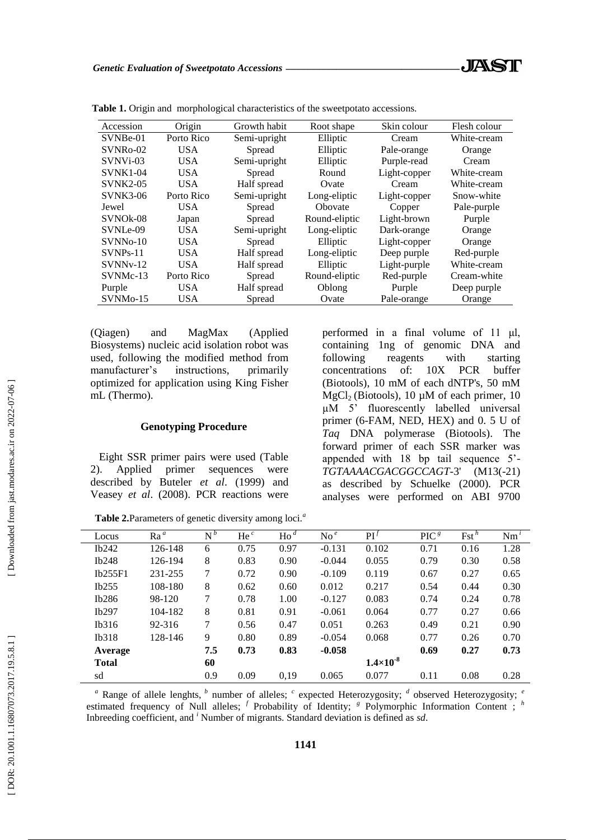| Accession             | Origin     | Growth habit | Root shape    | Skin colour  | Flesh colour |
|-----------------------|------------|--------------|---------------|--------------|--------------|
| SVNBe-01              | Porto Rico | Semi-upright | Elliptic      | Cream        | White-cream  |
| $SVNRo-02$            | <b>USA</b> | Spread       | Elliptic      | Pale-orange  | Orange       |
| SVNVi-03              | US A       | Semi-upright | Elliptic      | Purple-read  | Cream        |
| $SVMK1-04$            | US A       | Spread       | Round         | Light-copper | White-cream  |
| <b>SVNK2-05</b>       | US A       | Half spread  | Ovate         | Cream        | White-cream  |
| <b>SVNK3-06</b>       | Porto Rico | Semi-upright | Long-eliptic  | Light-copper | Snow-white   |
| Jewel                 | US A       | Spread       | Obovate       | Copper       | Pale-purple  |
| SVNO <sub>k</sub> -08 | Japan      | Spread       | Round-eliptic | Light-brown  | Purple       |
| SVNLe-09              | US A       | Semi-upright | Long-eliptic  | Dark-orange  | Orange       |
| SVNN <sub>0</sub> -10 | <b>USA</b> | Spread       | Elliptic      | Light-copper | Orange       |
| $SVMPs-11$            | US A       | Half spread  | Long-eliptic  | Deep purple  | Red-purple   |
| $SUNNv-12$            | <b>USA</b> | Half spread  | Elliptic      | Light-purple | White-cream  |
| SVNMc-13              | Porto Rico | Spread       | Round-eliptic | Red-purple   | Cream-white  |
| Purple                | US A       | Half spread  | Oblong        | Purple       | Deep purple  |
| SVNM <sub>0</sub> -15 | USA.       | Spread       | Ovate         | Pale-orange  | Orange       |
|                       |            |              |               |              |              |

**Table 1.** Origin and morphological characteristics of the sweetpotato accessions.

(Qiagen) and MagMax (Applied Biosystems) nucleic acid isolation robot was used, following the modified method from manufacturer's instructions, primarily optimized for application using King Fisher mL (Thermo).

## **Genotyping Procedure**

Eight SSR primer pairs were used (Table 2). Applied primer sequences were described by Buteler *et al*. (1999) and Veasey *et al*. (2008). PCR reactions were

performed in a final volume of 11 μl, containing 1ng of genomic DNA and following reagents with starting concentrations of: 10X PCR buffer (Biotools), 10 mM of each dNTP's, 50 mM  $MgCl<sub>2</sub>$  (Biotools), 10 µM of each primer, 10 µM 5' fluorescently labelled universal primer (6 -FAM, NED, HEX) and 0. 5 U of *Taq* DNA polymerase (Biotools). The forward primer of each SSR marker was appended with 18 bp tail sequence 5' - *TGTAAAACGACGGCCAGT-*3' (M13(  $(M13(-21)$ as described by Schuelke (2000). PCR analyses were performed on ABI 9700

| Locus        | $Ra^a$  | $N^b$ | He $^c$ | $\text{Ho}^d$ | $\mathrm{No}^{\,e}$ | $\mathbf{P}\mathbf{I}^J$ | PIC <sup>g</sup> | $\text{Fst}^h$ | Nm'  |
|--------------|---------|-------|---------|---------------|---------------------|--------------------------|------------------|----------------|------|
| Ib242        | 126-148 | 6     | 0.75    | 0.97          | $-0.131$            | 0.102                    | 0.71             | 0.16           | 1.28 |
| Ib248        | 126-194 | 8     | 0.83    | 0.90          | $-0.044$            | 0.055                    | 0.79             | 0.30           | 0.58 |
| Ib255F1      | 231-255 | 7     | 0.72    | 0.90          | $-0.109$            | 0.119                    | 0.67             | 0.27           | 0.65 |
| Ib255        | 108-180 | 8     | 0.62    | 0.60          | 0.012               | 0.217                    | 0.54             | 0.44           | 0.30 |
| Ib286        | 98-120  |       | 0.78    | 1.00          | $-0.127$            | 0.083                    | 0.74             | 0.24           | 0.78 |
| Ib297        | 104-182 | 8     | 0.81    | 0.91          | $-0.061$            | 0.064                    | 0.77             | 0.27           | 0.66 |
| Ib316        | 92-316  | 7     | 0.56    | 0.47          | 0.051               | 0.263                    | 0.49             | 0.21           | 0.90 |
| Ib318        | 128-146 | 9     | 0.80    | 0.89          | $-0.054$            | 0.068                    | 0.77             | 0.26           | 0.70 |
| Average      |         | 7.5   | 0.73    | 0.83          | $-0.058$            |                          | 0.69             | 0.27           | 0.73 |
| <b>Total</b> |         | 60    |         |               |                     | $1.4 \times 10^{-8}$     |                  |                |      |
| sd           |         | 0.9   | 0.09    | 0,19          | 0.065               | 0.077                    | 0.11             | 0.08           | 0.28 |

**Table 2.**Parameters of genetic diversity among loci. *a*

<sup>*a*</sup> Range of allele lenghts, <sup>*b*</sup> number of alleles; <sup>*c*</sup> expected Heterozygosity; <sup>*d*</sup> observed Heterozygosity; <sup>*e*</sup> estimated frequency of Null alleles; <sup>f</sup> Probability of Identity; <sup>8</sup> Polymorphic Information Content ; <sup>h</sup> Inbreeding coefficient, and *<sup>i</sup>* Number of migrants. Standard deviation is defined as *sd* .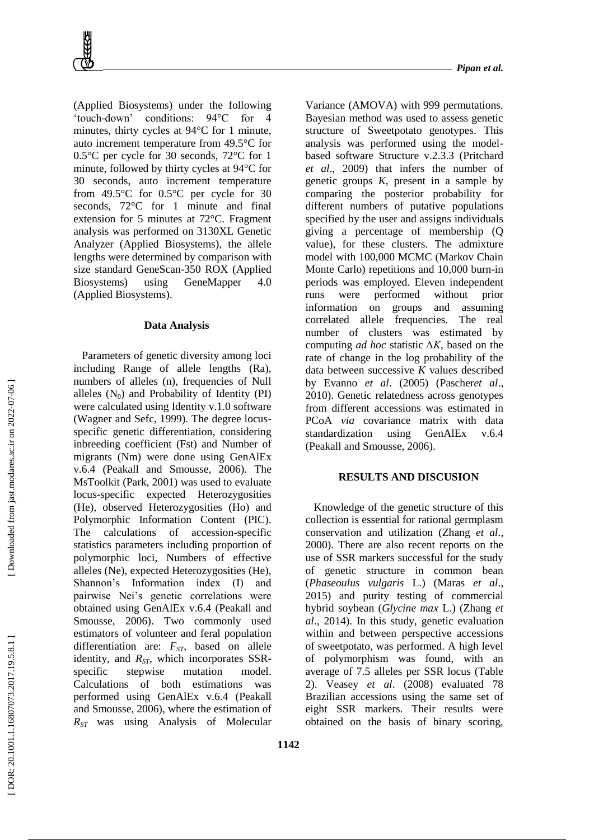(Applied Biosystems) under the following 'touch -down' conditions: 94°C for 4 minutes, thirty cycles at 94°C for 1 minute, auto increment temperature from 49.5°C for 0.5°C per cycle for 30 seconds, 72°C for 1 minute, followed by thirty cycles at 94°C for 30 seconds, auto increment temperature from 49.5°C for 0.5°C per cycle for 30 seconds, 72°C for 1 minute and final extension for 5 minutes at 72°C. Fragment analysis was performed on 3130XL Genetic Analyzer (Applied Biosystems), the allele lengths were determined by comparison with size standard GeneScan -350 ROX (Applied Biosystems) using GeneMapper 4.0 (Applied Biosystems).

### **Data Analysis**

Parameters of genetic diversity among loci including Range of allele lengths (Ra), numbers of alleles (n), frequencies of Null alleles  $(N_0)$  and Probability of Identity (PI) were calculated using Identity v.1.0 software (Wagner and Sefc, 1999). The degree locus specific genetic differentiation, considering inbreeding coefficient (Fst) and Number of migrants (Nm) were done using GenAlEx v.6.4 (Peakall and Smousse, 2006). The MsToolkit (Park, 2001) was used to evaluate locus -specific expected Heterozygosities (He), observed Heterozygosities (Ho) and Polymorphic Information Content (PIC). The calculations of accession -specific statistics parameters including proportion of polymorphic loci, Numbers of effective alleles (Ne), expected Heterozygosities (He), Shannon's Information index (I) and pairwise Nei's genetic correlations were obtained using GenAlEx v.6.4 (Peakall and Smousse, 2006). Two commonly used estimators of volunteer and feral population differentiation are: *FST*, based on allele identity, and R<sub>ST</sub>, which incorporates SSRspecific stepwise mutation model. Calculations of both estimations was performed using GenAlEx v.6.4 (Peakall and Smousse, 2006), where the estimation of *RST* was using Analysis of Molecular

Variance (AMOVA) with 999 permutations. Bayesian method was used to assess genetic structure of Sweetpotato genotypes. This analysis was performed using the model based software Structure v.2.3.3 (Pritchard *et al*., 2009) that infers the number of genetic groups *K*, present in a sample by comparing the posterior probability for different numbers of putative populations specified by the user and assigns individuals giving a percentage of membership (Q value), for these clusters. The admixture model with 100,000 MCMC (Markov Chain Monte Carlo) repetitions and 10,000 burn -in periods was employed. Eleven independent runs were performed without prior information on groups and assuming correlated allele frequencies. The real number of clusters was estimated by computing *ad hoc* statistic *∆K*, based on the rate of change in the log probability of the data between successive *K* values described by Evanno *et al*. (2005) (Pascher*et al*., 2010). Genetic relatedness across genotypes from different accessions was estimated in PCoA *via* covariance matrix with data standardization using GenAlEx v.6.4 (Peakall and Smousse, 2006).

## **RESULTS AND DISCUSIO N**

Knowledge of the genetic structure of this collection is essential for rational germplasm conservation and utilization (Zhang *et al*., 2000). There are also recent reports on the use of SSR markers successful for the study of genetic structure in common bean (*Phaseoulus vulgaris* L.) (Maras *et al*., 2015) and purity testing of commercial hybrid soybean (*Glycine max* L.) (Zhang *et al*., 2014). In this study, genetic evaluation within and between perspective accessions of sweetpotato, was performed. A high level of polymorphism was found, with an average of 7.5 alleles per SSR locus (Table 2). Veasey *et al*. (2008) evaluated 78 Brazilian accessions using the same set of eight SSR markers. Their results were obtained on the basis of binary scoring,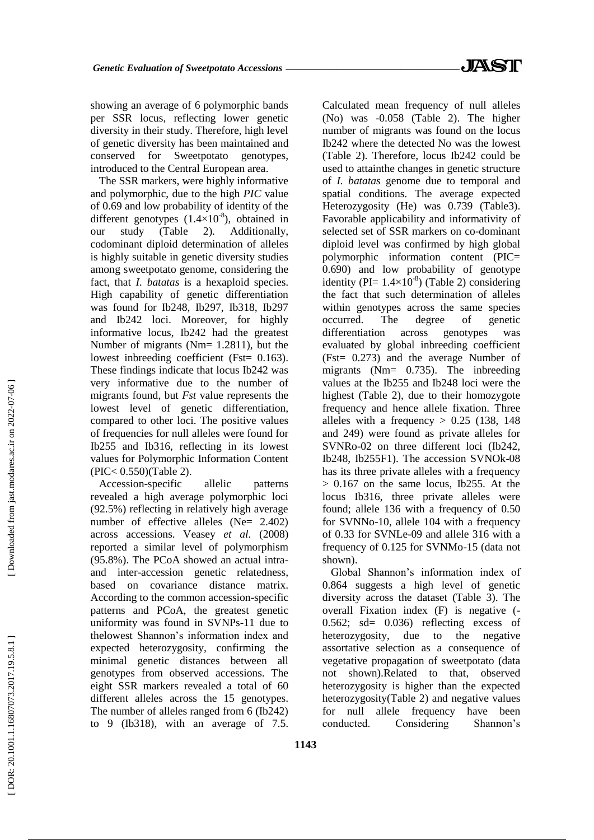showing an average of 6 polymorphic bands per SSR locus, reflecting lower genetic diversity in their study. Therefore, high level of genetic diversity has been maintained and conserved for Sweetpotato genotypes, introduced to the Central European area.

The SSR markers, were highly informative and polymorphic, due to the high *PIC* value of 0.69 and low probability of identity of the different genotypes  $(1.4\times10^{-8})$ , obtained in our study (Table 2). Additionally, codominant diploid determination of alleles is highly suitable in genetic diversity studies among sweetpotato genome, considering the fact, that *I. batatas* is a hexaploid species. High capability of genetic differentiation was found for Ib248, Ib297, Ib318, Ib297 and Ib242 loci. Moreover, for highly informative locus, Ib242 had the greatest Number of migrants (Nm= 1.2811), but the lowest inbreeding coefficient (Fst= 0.163). These findings indicate that locus Ib242 was very informative due to the number of migrants found, but *Fst* value represents the lowest level of genetic differentiation, compared to other loci. The positive values of frequencies for null alleles were found for Ib255 and Ib316, reflecting in its lowest values for Polymorphic Information Content (PIC< 0.550)(Table 2).

Accession -specific allelic patterns revealed a high average polymorphic loci (92.5%) reflecting in relatively high average number of effective alleles (Ne= 2.402) across accessions. Veasey *et a l*. (2008) reported a similar level of polymorphism (95.8%). The PCoA showed an actual intra and inter -accession genetic relatedness, based on covariance distance matrix. According to the common accession -specific patterns and PCoA, the greatest genetic uniformity was found in SVNPs -11 due to thelowest Shannon's information index and expected heterozygosity, confirming the minimal genetic distances between all genotypes from observed accessions. The eight SSR markers revealed a total of 60 different alleles across the 15 genotypes. The number of alleles ranged from 6 (Ib242) to 9 (Ib318), with an average of 7.5.

Calculated mean frequency of null alleles (No) was -0.058 (Table 2). The higher number of migrants was found on the locus Ib242 where the detected No was the lowest (Table 2). Therefore, locus Ib242 could be used to attainthe changes in genetic structure of *I. batatas* genome due to temporal and spatial conditions. The average expected Heterozygosity (He) was 0.739 (Table3). Favorable applicability and informativity of selected set of SSR markers on co -dominant diploid level was confirmed by high global polymorphic information content (PIC= 0.690) and low probability of genotype identity (PI=  $1.4 \times 10^{-8}$ ) (Table 2) considering the fact that such determination of alleles within genotypes across the same species occurred. The degree of genetic differentiation across genotypes was evaluated by global inbreeding coefficient (Fst= 0.273) and the average Number of migrants (Nm= 0.735). The inbreeding values at the Ib255 and Ib248 loci were the highest (Table 2), due to their homozygote frequency and hence allele fixation. Three alleles with a frequency  $> 0.25$  (138, 148) and 249) were found as private alleles for SVNRo -02 on three different loci (Ib242, Ib248, Ib255F1). The accession SVNOk -08 has its three private alleles with a frequency  $> 0.167$  on the same locus, Ib255. At the locus Ib316, three private alleles were found; allele 136 with a frequency of 0.50 for SVNNo -10, allele 104 with a frequency of 0.33 for SVNLe -09 and allele 316 with a frequency of 0.125 for SVNMo -15 (data not shown).

Global Shannon's information index of 0.864 suggests a high level of genetic diversity across the dataset (Table 3). The overall Fixation index (F) is negative ( - 0.562; sd= 0.036) reflecting excess of heterozygosity, due to the negative assortative selection as a consequence of vegetative propagation of sweetpotato (data not shown).Related to that, observed heterozygosity is higher than the expected heterozygosity(Table 2) and negative values for null allele frequency have been conducted. Considering Shannon's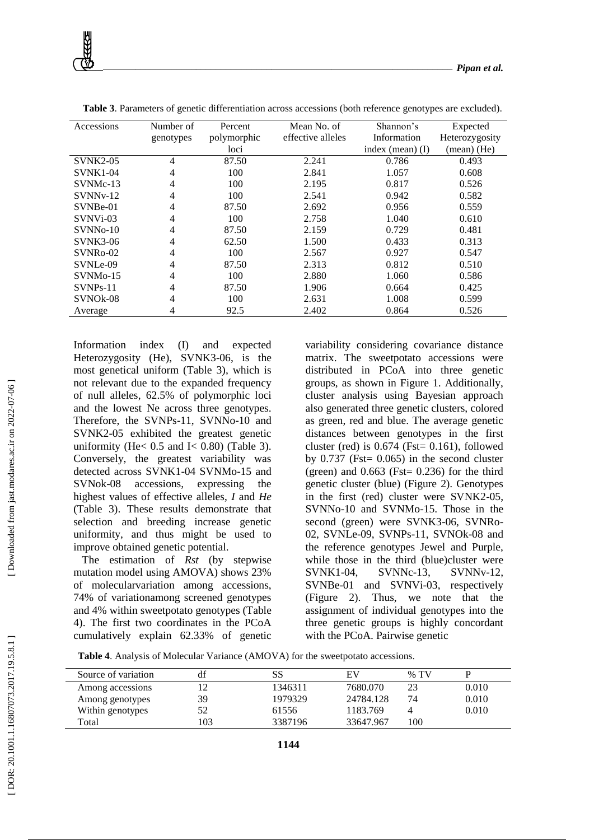| Accessions            | Number of | Percent     | Mean No. of       | Shannon's          | Expected       |
|-----------------------|-----------|-------------|-------------------|--------------------|----------------|
|                       | genotypes | polymorphic | effective alleles | Information        | Heterozygosity |
|                       |           | loci        |                   | index (mean) $(I)$ | (mean) (He)    |
| <b>SVNK2-05</b>       | 4         | 87.50       | 2.241             | 0.786              | 0.493          |
| <b>SVNK1-04</b>       | 4         | 100         | 2.841             | 1.057              | 0.608          |
| SVNMc-13              | 4         | 100         | 2.195             | 0.817              | 0.526          |
| $SUNNv-12$            | 4         | 100         | 2.541             | 0.942              | 0.582          |
| SVNBe-01              | 4         | 87.50       | 2.692             | 0.956              | 0.559          |
| SVNVi-03              | 4         | 100         | 2.758             | 1.040              | 0.610          |
| SVNN <sub>0</sub> -10 | 4         | 87.50       | 2.159             | 0.729              | 0.481          |
| <b>SVNK3-06</b>       | 4         | 62.50       | 1.500             | 0.433              | 0.313          |
| SVNR <sub>0</sub> -02 | 4         | 100         | 2.567             | 0.927              | 0.547          |
| SVNLe-09              | 4         | 87.50       | 2.313             | 0.812              | 0.510          |
| $SVMM0 - 15$          | 4         | 100         | 2.880             | 1.060              | 0.586          |
| $SVMPs-11$            | 4         | 87.50       | 1.906             | 0.664              | 0.425          |
| SVNO <sub>k</sub> -08 | 4         | 100         | 2.631             | 1.008              | 0.599          |
| Average               | 4         | 92.5        | 2.402             | 0.864              | 0.526          |

**Table 3**. Parameters of genetic differentiation across accessions (both reference genotypes are excluded).

Information index (I) and expected Heterozygosity (He), SVNK3 -06, is the most genetical uniform (Table 3), which is not relevant due to the expanded frequency of null alleles, 62.5% of polymorphic loci and the lowest Ne across three genotypes. Therefore, the SVNPs-11, SVNNo-10 and SVNK2 -05 exhibited the greatest genetic uniformity (He<  $0.5$  and I<  $0.80$ ) (Table 3). Conversely, the greatest variability was detected across SVNK1 - 04 SVNMo -15 and SVNok accessions, expressing the highest values of effective alleles, *I* and *He* (Table 3). These results demonstrate that selection and breeding increase genetic uniformity, and thus might be used to improve obtained genetic potential.

The estimation of *Rst* (by stepwise mutation model using AMOVA) shows 23% of molecularvariation among accessions, 74% of variationamong screened genotypes and 4% within sweetpotato genotypes (Table 4). The first two coordinates in the PCoA cumulatively explain 62.33% of genetic

variability considering covariance distance matrix. The sweetpotato accessions were distributed in PCoA into three genetic groups, as shown in Figure 1. Additionally, cluster analysis using Bayesian approach also generated three genetic clusters, colored as green, red and blue. The average genetic distances between genotypes in the first cluster (red) is  $0.674$  (Fst= 0.161), followed by  $0.737$  (Fst=  $0.065$ ) in the second cluster (green) and  $0.663$  (Fst= 0.236) for the third genetic cluster (blue) (Figure 2). Genotypes in the first (red) cluster were SVNK2 -05, SVNNo -10 and SVNMo -15. Those in the second (green) were SVNK3-06, SVNRo-02, SVNLe -09, SVNPs -11, SVNOk -08 and the reference genotypes Jewel and Purple, while those in the third (blue)cluster were SVNK1-04, SVNNc-13, -13, SVNNv -12, SVNBe-01 and SVNVi-03, respectively (Figure 2). Thus, we note that the assignment of individual genotypes into the three genetic groups is highly concordant with the PCoA. Pairwise genetic

**Table 4** . Analysis of Molecular Variance (AMOVA) for the sweetpotato accessions.

| Source of variation |     | SS      | EV        | $%$ TV |       |
|---------------------|-----|---------|-----------|--------|-------|
| Among accessions    |     | 1346311 | 7680.070  | 23     | 0.010 |
| Among genotypes     | 39  | 1979329 | 24784.128 | 74     | 0.010 |
| Within genotypes    |     | 61556   | 1183.769  |        | 0.010 |
| Total               | .03 | 3387196 | 33647.967 | 100    |       |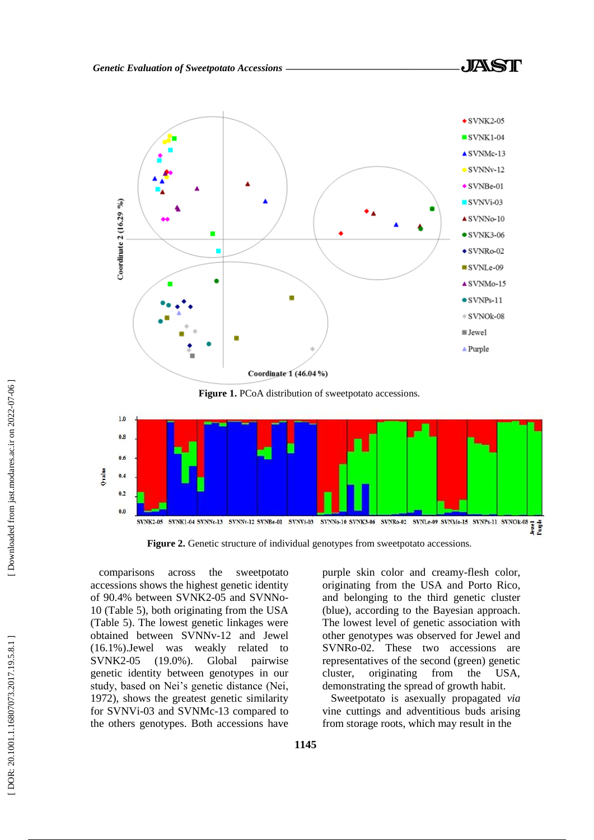

**Figure 1.** PCoA distribution of sweetpotato accessions.



**Figure 2.** Genetic structure of individual genotypes from sweetpotato accessions.

comparisons across the sweetpotato accessions shows the highest genetic identity of 90.4% between SVNK2-05 and SVNNo-10 (Table 5), both originating from the USA (Table 5). The lowest genetic linkages were obtained between SVNNv -12 and Jewel (16.1%).Jewel was weakly related to SVNK2  $(19.0\%)$ . Global pairwise genetic identity between genotypes in our study, based on Nei's genetic distance (Nei, 1972), shows the greatest genetic similarity for SVNVi -03 and SVNMc -13 compared to the others genotypes. Both accessions have

purple skin color and creamy -flesh color, originating from the USA and Porto Rico, and belonging to the third genetic cluster (blue), according to the Bayesian approach. The lowest level of genetic association with other genotypes was observed for Jewel and SVNRo -02. These two accessions are representatives of the second (green) genetic cluster, originating from the USA, demonstrating the spread of growth habit.

Sweetpotato is asexually propagated *via* vine cuttings and adventitious buds arising from storage roots, which may result in the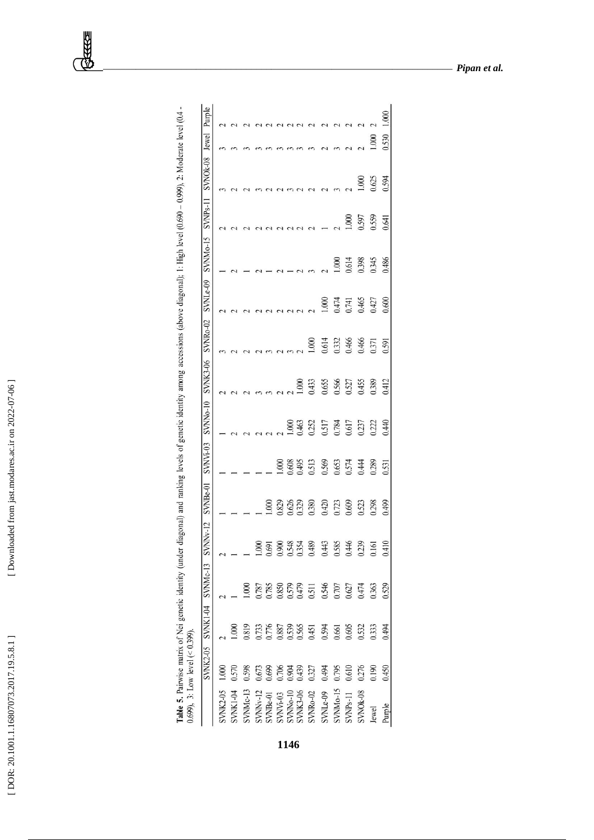[DOR: 20.1001.1.16807073.2017.19.5.8.1]

| ١<br>ï<br>- 15 MW<br>ì |  |
|------------------------|--|
|                        |  |
|                        |  |
|                        |  |
|                        |  |
|                        |  |
|                        |  |
|                        |  |

| ì<br>Ŝ<br>Ç<br>ļ<br>Ì<br>ÿ<br>I<br>$\ddot{\phantom{0}}$<br>l<br>l<br>į<br>ļ<br>ć<br>ì<br>Ì<br>J<br>Î<br>j<br>ļ<br>ţ<br>ţ<br>í<br>l<br>f)<br>I<br>Ì<br>J<br>ׇ֚֘֝֬<br>ŝ<br>$\overline{a}$<br>i<br>l<br>ļ<br>5<br>12<br>l<br>i<br>Í<br>į<br>ţ<br>j<br>Í<br>ļ<br>$\overline{a}$<br>$\overline{\phantom{a}}$ |  |
|---------------------------------------------------------------------------------------------------------------------------------------------------------------------------------------------------------------------------------------------------------------------------------------------------------|--|
|                                                                                                                                                                                                                                                                                                         |  |

|                                  | $0.699$ ), 3: Low level (< 0.399). |                                     |                                                    |                                                    |                         |                         |       |                                                       |       |                                 |       |       |                            |       |        |
|----------------------------------|------------------------------------|-------------------------------------|----------------------------------------------------|----------------------------------------------------|-------------------------|-------------------------|-------|-------------------------------------------------------|-------|---------------------------------|-------|-------|----------------------------|-------|--------|
|                                  |                                    | SVNK2-05 SVNK1-04 SVNMc-13 SVNNv-12 |                                                    |                                                    |                         | SVNBe-01 SVNVi-03       |       | SVNNo-10 SVNK3-06 SVNRo-02 SVNLe-09 SVNMo-15 SVNPs-11 |       |                                 |       |       | SVNO <sub>k-08</sub> Jewel |       | Purple |
| <b>SWK2-05</b>                   |                                    |                                     |                                                    |                                                    |                         |                         |       |                                                       |       |                                 |       |       |                            |       |        |
| SVNK1-04                         |                                    | $\frac{000}{1}$                     |                                                    |                                                    |                         |                         |       |                                                       |       |                                 |       |       |                            |       |        |
| <b>NNMc-13</b>                   | 0.598                              | 0.819                               |                                                    |                                                    |                         |                         |       |                                                       |       |                                 |       |       |                            |       |        |
| SVNNv-12                         | 0.673                              | 0.733                               | 1.787                                              |                                                    |                         |                         |       |                                                       |       |                                 |       |       |                            |       |        |
| SVNBe-01                         | 0.699                              |                                     | 0.785                                              | $\frac{1.000}{0.691}$                              | .000                    |                         |       |                                                       |       |                                 |       |       |                            |       |        |
|                                  | 0.706                              |                                     |                                                    |                                                    |                         | 000                     |       |                                                       |       |                                 |       |       |                            |       |        |
|                                  | 0.904                              |                                     |                                                    |                                                    |                         |                         | 000   |                                                       |       |                                 |       |       |                            |       |        |
| SVNVi-03<br>SVNNo-10<br>SVNK3-06 | 0.439                              |                                     |                                                    |                                                    | 0.829<br>0.626          | 0.608<br>0.495<br>0.513 | 0.463 | 0001                                                  |       |                                 |       |       |                            |       |        |
| <b>SVNRo-02</b>                  | 0.327                              | 0.776<br>0.887<br>0.539<br>0.565    |                                                    |                                                    |                         |                         | 0.252 | 0.433                                                 | 000   |                                 |       |       |                            |       |        |
| SVNLe-09                         | 0.494                              | 0.594<br>0.661<br>0.605             | 0.850<br>0.579<br>0.511<br>0.546<br>0.627<br>0.474 | 0.900<br>0.548<br>0.354<br>0.443<br>0.585<br>0.446 | 0.380<br>0.420<br>0.609 | 0.569<br>0.653<br>0.574 | 0.517 | 0.655<br>0.566<br>0.527                               | 0.614 | 000                             |       |       |                            |       |        |
| <b>SVNMo-15</b>                  | 0.795                              |                                     |                                                    |                                                    |                         |                         | 0.784 |                                                       | 0.332 |                                 | 000   |       |                            |       |        |
| SVNP <sub>S-11</sub>             | 0.610                              |                                     |                                                    |                                                    |                         |                         | 0.617 |                                                       | 0.466 |                                 | 0.614 | 1.000 |                            |       |        |
| SVNOk-08                         | 0.276                              | 0.532                               |                                                    | 0.239                                              | 0.523                   | 0.444                   | 0.237 |                                                       | 0.466 | 1474<br>1,741<br>1,465<br>1,427 | 0.398 | 0.597 | 00(                        |       |        |
| Jewel                            | 0.190                              | 0.333                               |                                                    | 0.161                                              | 0.298                   | 0.289                   | 0.222 | 0.389                                                 | 0.371 |                                 | 0.345 | 0.559 | 0.625                      | 000   |        |
| Purple                           | 0.450                              | 0.494                               | 0.529                                              | 0.41                                               | 0.499                   | 0.531                   | 0.440 | 0.412                                                 | 0.591 | 0.600                           | 0.486 | 0.641 | 0.594                      | 0.530 | 1.000  |

*\_\_\_\_\_\_\_\_\_\_\_\_\_\_\_\_\_\_\_\_\_\_\_\_\_\_\_\_\_\_\_\_\_\_\_\_\_\_\_\_\_\_\_\_\_\_\_\_\_\_\_\_\_\_\_\_\_\_\_\_\_\_\_\_\_\_\_\_\_\_\_\_ Pipan et al.*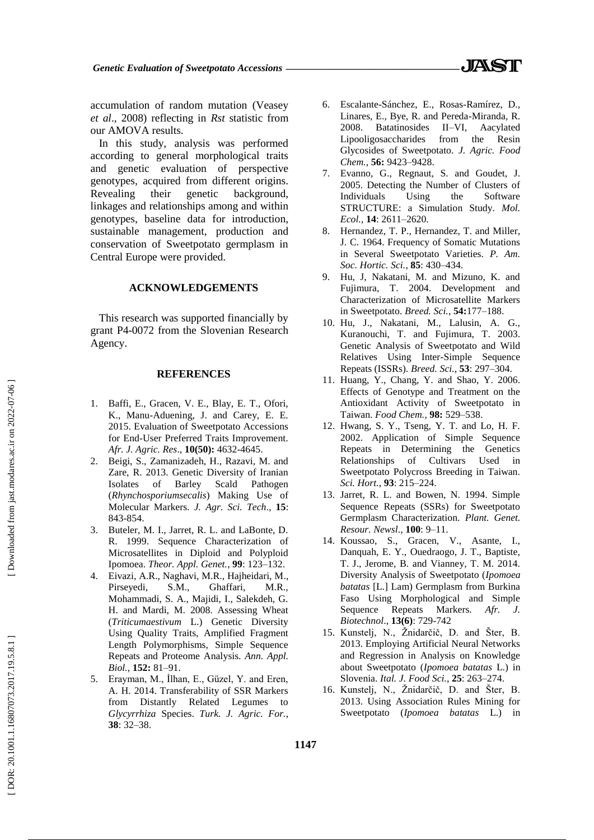accumulation of random mutation (Veasey *et al*., 2008) reflecting in *Rst* statistic from our AMOVA results.

In this study, analysis was performed according to general morphological traits and genetic evaluation of perspective genotypes, acquired from different origins. Revealing their genetic background, linkages and relationships among and within genotypes, baseline data for introduction, sustainable management, production and conservation of Sweetpotato germplasm in Central Europe were provided.

### **ACKNOWLEDGEMENTS**

This research was supported financially by grant P4 -0072 from the Slovenian Research Agency.

#### **REFERENCES**

- 1 . Baffi, E., Gracen, V. E., Blay, E. T., Ofori, K., Manu -Aduening, J. and Carey, E. E. 2015. Evaluation of Sweetpotato Accessions for End -User Preferred Traits Improvement. *Afr. J. Agric. Res*., **10(50):** 4632 -4645.
- 2. . Beigi, S., Zamanizadeh, H., Razavi, M. and Zare, R. 2013. Genetic Diversity of Iranian Isolates of Barley Scald Pathogen (*Rhynchosporiumsecalis*) Making Use of Molecular Markers. *J. Agr. Sci. Tech*., **15**: 843 -854.
- 3. . Buteler, M. I., Jarret, R. L. and LaBonte, D. R. 1999. Sequence Characterization of Microsatellites in Diploid and Polyploid Ipomoea. *Theor. Appl. Genet.*, **99**: 123 –132.
- 4 . Eivazi, A.R., Naghavi, M.R., Hajheidari, M., Pirseyedi, S.M., Ghaffari, M.R., Mohammadi, S. A., Majidi, I., Salekdeh, G. H. and Mardi, M. 2008. Assessing Wheat (*Triticumaestivum* L.) Genetic Diversity Using Quality Traits, Amplified Fragment Length Polymorphisms, Simple Sequence Repeats and Proteome Analysis. *Ann. Appl. Biol.*, **152:** 81 –91.
- 5 . Erayman, M., İlhan, E., Güzel, Y. and Eren, A. H. 2014. Transferability of SSR Markers from Distantly Related Legumes to *Glycyrrhiza* Species. *Turk. J. Agric. For.*, **38**: 32 –38.
- 6 . Escalante -Sánchez, E., Rosas -Ramírez, D., Linares, E., Bye, R. and Pereda -Miranda, R. 2008. Batatinosides II Aacylated Lipooligosaccharides from the Resin Glycosides of Sweetpotato. *J. Agric. Food Chem.,* **56:** 9423 –9428.
- 7 . Evanno, G., Regnaut, S. and Goudet, J. 2005. Detecting the Number of Clusters of Individuals Using the Software STRUCTURE: a Simulation Study. *Mol. Ecol.*, **14**: 2611 –2620.
- 8. . Hernandez, T. P., Hernandez, T. and Miller, J. C. 1964. Frequency of Somatic Mutations in Several Sweetpotato Varieties. *P. Am. Soc. Hortic. Sci.*, **85**: 430 –434.
- 9. Hu, J, Nakatani, M. and Mizuno, K. and Fujimura, T. 2004. Development and Characterization of Microsatellite Markers in Sweetpotato. *Breed. Sci.*, **54:**177 –188.
- 10 . Hu, J., Nakatani, M., Lalusin, A. G., Kuranouchi, T. and Fujimura, T. 2003. Genetic Analysis of Sweetpotato and Wild Relatives Using Inter -Simple Sequence Repeats (ISSRs). *Breed. Sci.*, **53**: 297 –304.
- 11 . Huang, Y., Chang, Y. and Shao, Y. 2006. Effects of Genotype and Treatment on the Antioxidant Activity of Sweetpotato in Taiwan. *Food Chem.*, **98:** 529 –538.
- 12 . Hwang, S. Y., Tseng, Y. T. and Lo, H. F. 2002. Application of Simple Sequence Repeats in Determining the Genetics Relationships of Cultivars Used in Sweetpotato Polycross Breeding in Taiwan. *Sci. Hort.*, **93**: 215 –224.
- 13 . Jarret, R. L. and Bowen, N. 1994. Simple Sequence Repeats (SSRs) for Sweetpotato Germplasm Characterization. *Plant. Genet. Resour. Newsl* ., **100**: 9 –11.
- 14 . Koussao, S., Gracen, V., Asante, I., Danquah, E. Y., Ouedraogo, J. T., Baptiste, T. J., Jerome, B. and Vianney, T. M. 2014. Diversity Analysis of Sweetpotato (*Ipomoea batatas* [L.] Lam) Germplasm from Burkina Faso Using Morphological and Simple Sequence Repeats Markers. *Afr. J. Biotechnol*., **13(6)**: 729 -742
- 15. Kunstelj, N., Žnidarčič, D. and Šter, B. 2013. Employing Artificial Neural Networks and Regression in Analysis on Knowledge about Sweetpotato (*Ipomoea batatas* L.) in Slovenia. *Ital. J. Food Sci.,* **25**: 263 –274.
- 16. Kunstelj, N., Žnidarčič, D. and Šter, B. 2013. Using Association Rules Mining for Sweetpotato (*Ipomoea batatas* L.) in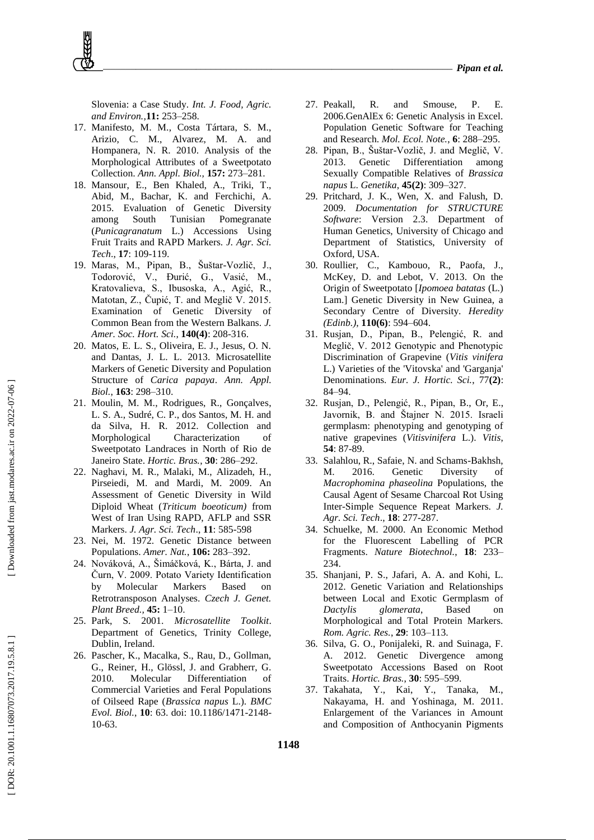Slovenia: a Case Study. *Int. J. Food, Agric. and Environ. ,***11:** 253 –258.

- 17 . Manifesto, M. M., Costa Tártara, S. M., Arizio, C. M., Alvarez, M. A. and Hompanera, N. R. 2010. Analysis of the Morphological Attributes of a Sweetpotato Collection. *Ann. Appl. Biol.,* **157:** 273 –281.
- 18 . Mansour, E., Ben Khaled, A., Triki, T., Abid, M., Bachar, K. and Ferchichi, A. 2015. Evaluation of Genetic Diversity among South Tunisian Pomegranate (*Punicagranatum* L.) Accessions Using Fruit Traits and RAPD Markers. *J. Agr. Sci. Tech*., **17**: 109 -119.
- 19 . Maras, M., Pipan, B., Šuštar -Vozlič, J., Todorović, V., Đurić, G., Vasić, M., Kratovalieva, S., Ibusoska, A., Agić, R., Matotan, Z., Čupić, T. and Meglič V. 2015. Examination of Genetic Diversity of Common Bean from the Western Balkans. *J. Amer. Soc. Hort. Sci.*, **140(4)**: 208 -316.
- 20 . Matos, E. L. S., Oliveira, E. J., Jesus, O. N. and Dantas, J. L. L. 2013. Microsatellite Markers of Genetic Diversity and Population Structure of *Carica papaya*. *Ann. Appl. Biol.*, **163**: 298 –310.
- 21 . Moulin, M. M., Rodrigues, R., Gonçalves, L. S. A., Sudré, C. P., dos Santos, M. H. and da Silva, H. R. 2012. Collection and Morphological Characterization of Sweetpotato Landraces in North of Rio de Janeiro State. *Hortic. Bras.*, **30**: 286 –292.
- 22 . Naghavi, M. R., Malaki, M., Alizadeh, H., Pirseiedi, M. and Mardi, M. 2009. An Assessment of Genetic Diversity in Wild Diploid Wheat (*Triticum boeoticum)* from West of Iran Using RAPD, AFLP and SSR Markers. *J. Agr. Sci. Tech*., **11**: 585 -598
- 23 . Nei, M. 1972. Genetic Distance between Populations. *Amer. Nat.*, **106:** 28 3 –392.
- 24 . Nováková, A., Šimáčková, K., Bárta, J. and Čurn, V. 2009. Potato Variety Identification by Molecular Markers Based on Retrotransposon Analyses. *Czech J. Genet. Plant Breed.,* **45:** 1 –10.
- 25 . Park, S. 2001. *Microsatellite Toolkit*. Department of Genetics, Trinity College, Dublin, Ireland.
- 26 . Pascher, K., Macalka, S., Rau, D., Gollman, G., Reiner, H., Glössl, J. and Grabherr, G. 2010. Molecular Differentiation of Commercial Varieties and Feral Populations of Oilseed Rape (*Brassica napus* L.). *BMC Evol. Biol.*, **10**: 63. doi: 10.1186/1471 -2148 - 10 -63.
- 27 . Peakall, R. and Smouse, P. E. 2006.GenAlEx 6: Genetic Analysis in Excel. Population Genetic Software for Teaching and Research. *Mol. Ecol. Note.*, **6**: 288 –295.
- 28 . Pipan, B., Šuštar -Vozlič, J. and Meglič, V. 2013. Genetic Differentiation among Sexually Compatible Relatives of *Brassica napus* L. *Genetika*, **45(2)**: 309 –327.
- 29 . Pritchard, J. K., Wen, X. and Falush, D. 2009. *Documentation for STRUCTURE Software*: Version 2.3. Department of Human Genetics, University of Chicago and Department of Statistics, University of Oxford, USA.
- 30 . Roullier, C., Kambouo, R., Paofa, J., McKey, D. and Lebot, V. 2013. On the Origin of Sweetpotato [*Ipomoea batatas* (L.) Lam.] Genetic Diversity in New Guinea, a Secondary Centre of Diversity. *Heredity (Edinb.)*, **110(6)**: 594 –604.
- 31 . Rusjan, D., Pipan, B., Pelengić, R. and Meglič, V. 2012 Genotypic and Phenotypic Discrimination of Grapevine (*Vitis vinifera* L.) Varieties of the 'Vitovska' and 'Garganja' Denominations. *Eur. J. Hortic. Sci.*, 77**(2)**: 84 –94.
- 32 . Rusjan, D., Pelengić, R., Pipan, B., Or, E., Javornik, B. and Štajner N. 2015. Israeli germplasm: phenotyping and genotyping of native grapevines (*Vitisvinifera* L.). *Vitis*, **54**: 87 -89.
- 33 . Salahlou, R., Safaie, N. and Schams -Bakhsh, M. 2016. Genetic Diversity of *Macrophomina phaseolina* Populations, the Causal Agent of Sesame Charcoal Rot Using Inter -Simple Sequence Repeat Markers. *J. Agr. Sci. Tech*., **18**: 277 -287.
- 34 . Schuelke, M. 2000. An Economic Method for the Fluorescent Labelling of PCR Fragments. *Nature Biotechnol.*, **18**: 233 – 234.
- 35 . Shanjani, P. S., Jafari, A. A. and Kohi, L. 2012. Genetic Variation and Relationships between Local and Exotic Germplasm of *Dactylis glomerata*, Based on Morphological and Total Protein Markers. *Rom. Agric. Res.*, **29**: 103 –113.
- 36 . Silva, G. O., Ponijaleki, R. and Suinaga, F. A. 2012. Genetic Divergence among Sweetpotato Accessions Based on Root Traits. *Hortic. Bras.*, **30**: 595 –599.
- 37 . Takahata, Y., Kai, Y., Tanaka, M., Nakayama, H. and Yoshinaga, M. 2011. Enlargement of the Variances in Amount and Composition of Anthocyanin Pigments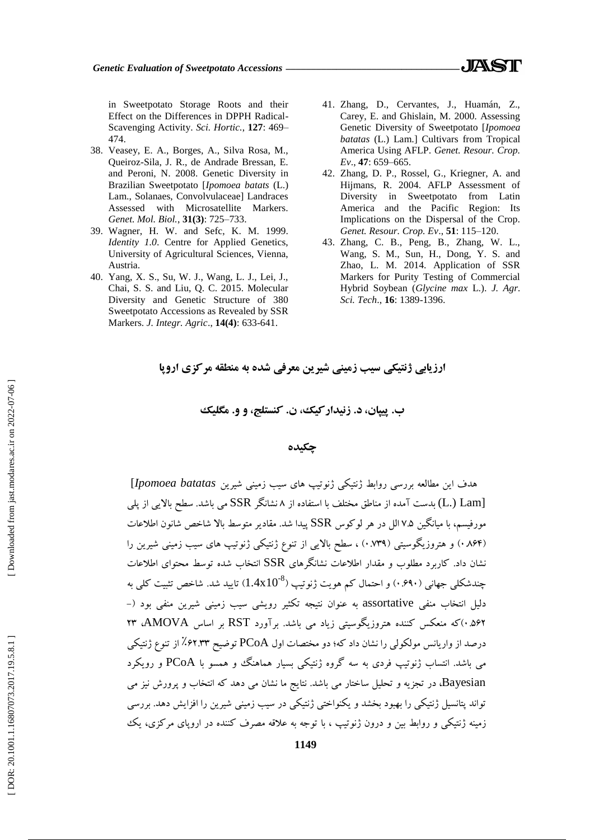in Sweetpotato Storage Roots and their Effect on the Differences in DPPH Radical - Scavenging Activity. *Sci. Hortic.*, **127**: 469 – 474.

- 38 . Veasey, E. A., Borges, A., Silva Rosa, M., Queiroz -Sila, J. R., de Andrade Bressan, E. and Peroni, N. 2008. Genetic Diversity in Brazilian Sweetpotato [*Ipomoea batats* (L.) Lam., Solanaes, Convolvulaceae] Landraces Assessed with Microsatellite Markers. *Genet. Mol. Biol.*, **31(3)**: 725 –733.
- 39 . Wagner, H. W. and Sefc, K. M. 1999. *Identity 1.0*. Centre for Applied Genetics, University of Agricultural Sciences, Vienna, Austria.
- 40 . Yang, X. S., Su, W. J., Wang, L. J., Lei, J., Chai, S. S. and Liu, Q. C. 2015. Molecular Diversity and Genetic Structure of 380 Sweetpotato Accessions as Revealed by SSR Markers. *J. Integr. Agric*., **14(4)**: 633 -641.
- 41 . Zhang, D., Cervantes, J., Huamán, Z., Carey, E. and Ghislain, M. 2000. Assessing Genetic Diversity of Sweetpotato [*Ipomoea batatas* (L.) Lam.] Cultivars from Tropical America Using AFLP. *Genet. Resour. Crop. Ev*., **47**: 659 –665.
- 42 . Zhang, D. P., Rossel, G., Kriegner, A. and Hijmans, R. 2004. AFLP Assessment of Diversity in Sweetpotato from Latin America and the Pacific Region: Its Implications on the Dispersal of the Crop. *Genet. Resour. Crop. Ev*., **51**: 115 –120.
- 43 . Zhang, C. B., Peng, B., Zhang, W. L., Wang, S. M., Sun, H., Dong, Y. S. and Zhao, L. M. 2014. Application of SSR Markers for Purity Testing of Commercial Hybrid Soybean (*Glycine max* L.). *J. Agr. Sci. Tech*., **16**: 1389 -1396.

**ارزیاتی شنتیکی سیة زمینی شیرین معرفی شده ته منطقه مرکسی اروپا**

**، و و. مگلیک ب. پیپان، د. زنیدارکیک، ن. کنستلج**

# **چکیده**

ّذف ایي هطالعِ تررسی رٍاتط شًتیکی شًَتیپ ّای سیة زهیٌی ضیریي *batatas Ipomoea*[ (L.) Lam) بدست آمده از مناطق مختلف با استفاده از ۸ نشانگر SSR می باشد. سطح بالایی از پلی مورفیسم، با میانگین ۷.۵ الل در هر لوکوس SSR پیدا شد. مقادیر متوسط بالا شاخص شانون اطلاعات (۸۶۴) و هتروزیکوسیتی (۱۳۹٪) ، سطح بالایی از تنوع ژنتیکی ژنوتیپ های سیب زمینی شیرین را نشان داد. کاربرد مطلوب و مقدار اطلاعات نشانگر های SSR انتخاب شده توسط محتوای اطلاعات  $1.4\mathrm{x}10^{8})$  چندشکلی جهانی (۹۰٬۶۹۰) و احتمال کم هویت ژنوتیپ دلیل انتخاب منفی assortative به عنوان نتیجِه تکثیر رویشی سیب زمینی شیرین منفی بود (-۵۶۲.<sup>)</sup>که منعکس کننده هتروزیگوسیتی زیاد می باشد. برآورد RST بر اساس AMOVA، ۲۳ درصد از واریانس مولکولی را نشان داد که؛ دو مختصات اول PCoA توضیح ۶۲.۳۳٪ از تنوع ژنتیکی می باشد. انتساب ژنوتیپ فردی به سه گروه ژنتیکی بسیار هماهنگ و همسو با PCoA و رویکرد Bayesian، در تجزیه و تحلیل ساختار می باشد. نتایج ما نشان می دهد که انتخاب و پرورش نیز می تواند پتانسیل ژنتیکی را بهبود بخشد و یکنواختی ژنتیکی در سیب زمینی شیرین را افزایش دهد. بررسی زمینه ژنتیکی و روابط بین و درون ژنوتیپ ، با توجه به علاقه مصرف کننده در اروپای مرکزی، یک